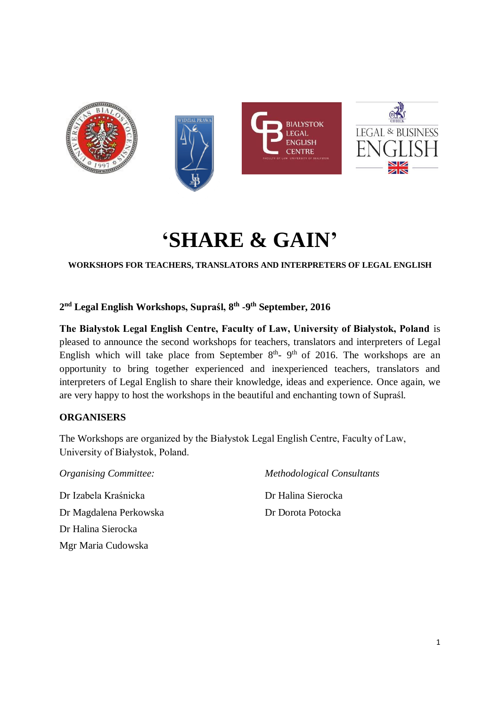

# **'SHARE & GAIN'**

**WORKSHOPS FOR TEACHERS, TRANSLATORS AND INTERPRETERS OF LEGAL ENGLISH**

**2 nd Legal English Workshops, Supraśl, 8 th -9 th September, 2016**

**The Białystok Legal English Centre, Faculty of Law, University of Białystok, Poland** is pleased to announce the second workshops for teachers, translators and interpreters of Legal English which will take place from September  $8<sup>th</sup>$ -  $9<sup>th</sup>$  of 2016. The workshops are an opportunity to bring together experienced and inexperienced teachers, translators and interpreters of Legal English to share their knowledge, ideas and experience. Once again, we are very happy to host the workshops in the beautiful and enchanting town of Supraśl.

## **ORGANISERS**

The Workshops are organized by the Białystok Legal English Centre, Faculty of Law, University of Białystok, Poland.

*Organising Committee:* Dr Izabela Kraśnicka Dr Magdalena Perkowska Dr Halina Sierocka Mgr Maria Cudowska

*Methodological Consultants*

Dr Halina Sierocka Dr Dorota Potocka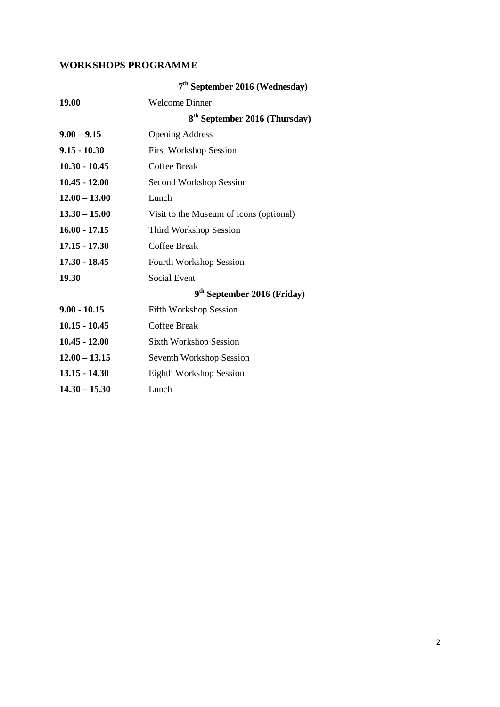# **WORKSHOPS PROGRAMME**

|                 | 7 <sup>th</sup> September 2016 (Wednesday) |  |
|-----------------|--------------------------------------------|--|
| <b>19.00</b>    | <b>Welcome Dinner</b>                      |  |
|                 | $8th$ September 2016 (Thursday)            |  |
| $9.00 - 9.15$   | <b>Opening Address</b>                     |  |
| $9.15 - 10.30$  | <b>First Workshop Session</b>              |  |
| $10.30 - 10.45$ | Coffee Break                               |  |
| $10.45 - 12.00$ | Second Workshop Session                    |  |
| $12.00 - 13.00$ | Lunch                                      |  |
| $13.30 - 15.00$ | Visit to the Museum of Icons (optional)    |  |
| $16.00 - 17.15$ | Third Workshop Session                     |  |
| $17.15 - 17.30$ | Coffee Break                               |  |
| $17.30 - 18.45$ | <b>Fourth Workshop Session</b>             |  |
| 19.30           | Social Event                               |  |
|                 | 9 <sup>th</sup> September 2016 (Friday)    |  |
| $9.00 - 10.15$  | <b>Fifth Workshop Session</b>              |  |
| $10.15 - 10.45$ | Coffee Break                               |  |
| $10.45 - 12.00$ | <b>Sixth Workshop Session</b>              |  |
| $12.00 - 13.15$ | Seventh Workshop Session                   |  |
| $13.15 - 14.30$ | Eighth Workshop Session                    |  |
| $14.30 - 15.30$ | Lunch                                      |  |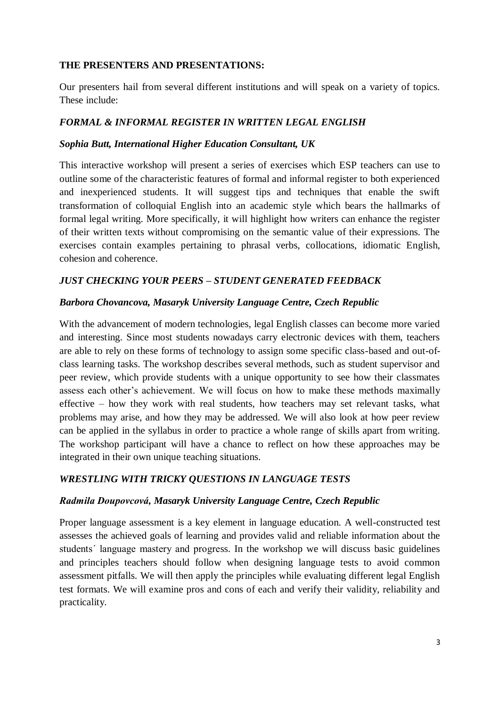## **THE PRESENTERS AND PRESENTATIONS:**

Our presenters hail from several different institutions and will speak on a variety of topics. These include:

# *FORMAL & INFORMAL REGISTER IN WRITTEN LEGAL ENGLISH*

#### *Sophia Butt, International Higher Education Consultant, UK*

This interactive workshop will present a series of exercises which ESP teachers can use to outline some of the characteristic features of formal and informal register to both experienced and inexperienced students. It will suggest tips and techniques that enable the swift transformation of colloquial English into an academic style which bears the hallmarks of formal legal writing. More specifically, it will highlight how writers can enhance the register of their written texts without compromising on the semantic value of their expressions. The exercises contain examples pertaining to phrasal verbs, collocations, idiomatic English, cohesion and coherence.

## *JUST CHECKING YOUR PEERS – STUDENT GENERATED FEEDBACK*

#### *Barbora Chovancova, Masaryk University Language Centre, Czech Republic*

With the advancement of modern technologies, legal English classes can become more varied and interesting. Since most students nowadays carry electronic devices with them, teachers are able to rely on these forms of technology to assign some specific class-based and out-ofclass learning tasks. The workshop describes several methods, such as student supervisor and peer review, which provide students with a unique opportunity to see how their classmates assess each other's achievement. We will focus on how to make these methods maximally effective – how they work with real students, how teachers may set relevant tasks, what problems may arise, and how they may be addressed. We will also look at how peer review can be applied in the syllabus in order to practice a whole range of skills apart from writing. The workshop participant will have a chance to reflect on how these approaches may be integrated in their own unique teaching situations.

## *WRESTLING WITH TRICKY QUESTIONS IN LANGUAGE TESTS*

## *Radmila Doupovcová, Masaryk University Language Centre, Czech Republic*

Proper language assessment is a key element in language education. A well-constructed test assesses the achieved goals of learning and provides valid and reliable information about the students´ language mastery and progress. In the workshop we will discuss basic guidelines and principles teachers should follow when designing language tests to avoid common assessment pitfalls. We will then apply the principles while evaluating different legal English test formats. We will examine pros and cons of each and verify their validity, reliability and practicality.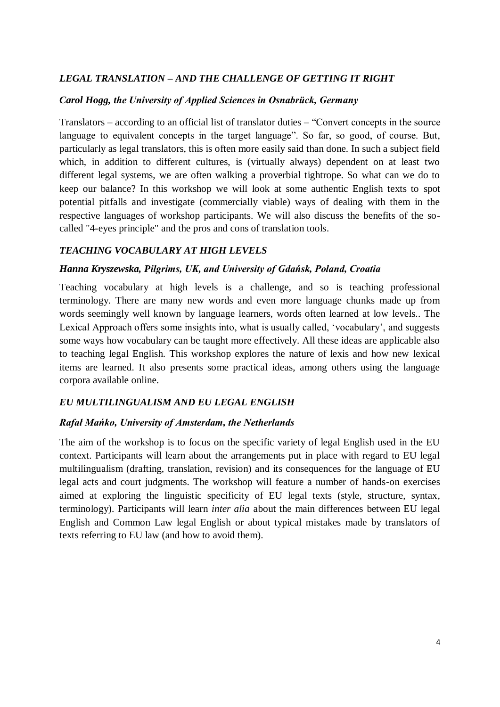# *LEGAL TRANSLATION – AND THE CHALLENGE OF GETTING IT RIGHT*

#### *Carol Hogg, the University of Applied Sciences in Osnabrück, Germany*

Translators – according to an official list of translator duties – "Convert concepts in the source language to equivalent concepts in the target language". So far, so good, of course. But, particularly as legal translators, this is often more easily said than done. In such a subject field which, in addition to different cultures, is (virtually always) dependent on at least two different legal systems, we are often walking a proverbial tightrope. So what can we do to keep our balance? In this workshop we will look at some authentic English texts to spot potential pitfalls and investigate (commercially viable) ways of dealing with them in the respective languages of workshop participants. We will also discuss the benefits of the socalled "4-eyes principle" and the pros and cons of translation tools.

#### *TEACHING VOCABULARY AT HIGH LEVELS*

#### *Hanna Kryszewska, Pilgrims, UK, and University of Gdańsk, Poland, Croatia*

Teaching vocabulary at high levels is a challenge, and so is teaching professional terminology. There are many new words and even more language chunks made up from words seemingly well known by language learners, words often learned at low levels.. The Lexical Approach offers some insights into, what is usually called, 'vocabulary', and suggests some ways how vocabulary can be taught more effectively. All these ideas are applicable also to teaching legal English. This workshop explores the nature of lexis and how new lexical items are learned. It also presents some practical ideas, among others using the language corpora available online.

#### *EU MULTILINGUALISM AND EU LEGAL ENGLISH*

#### *Rafał Mańko, University of Amsterdam, the Netherlands*

The aim of the workshop is to focus on the specific variety of legal English used in the EU context. Participants will learn about the arrangements put in place with regard to EU legal multilingualism (drafting, translation, revision) and its consequences for the language of EU legal acts and court judgments. The workshop will feature a number of hands-on exercises aimed at exploring the linguistic specificity of EU legal texts (style, structure, syntax, terminology). Participants will learn *inter alia* about the main differences between EU legal English and Common Law legal English or about typical mistakes made by translators of texts referring to EU law (and how to avoid them).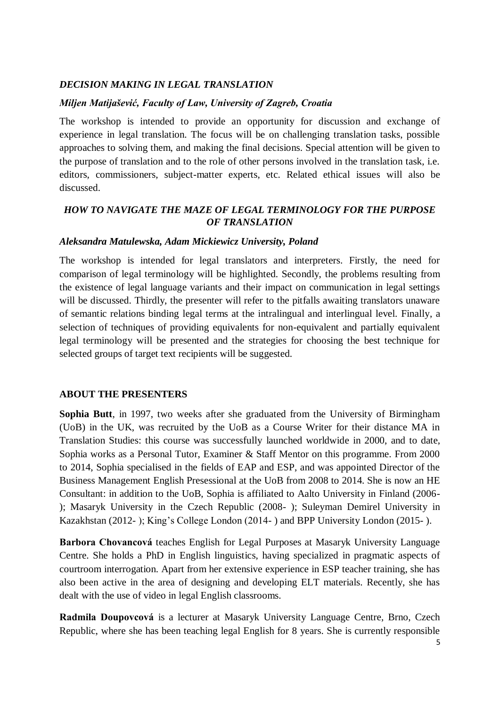## *DECISION MAKING IN LEGAL TRANSLATION*

#### *Miljen Matijašević, Faculty of Law, University of Zagreb, Croatia*

The workshop is intended to provide an opportunity for discussion and exchange of experience in legal translation. The focus will be on challenging translation tasks, possible approaches to solving them, and making the final decisions. Special attention will be given to the purpose of translation and to the role of other persons involved in the translation task, i.e. editors, commissioners, subject-matter experts, etc. Related ethical issues will also be discussed.

# *HOW TO NAVIGATE THE MAZE OF LEGAL TERMINOLOGY FOR THE PURPOSE OF TRANSLATION*

#### *Aleksandra Matulewska, Adam Mickiewicz University, Poland*

The workshop is intended for legal translators and interpreters. Firstly, the need for comparison of legal terminology will be highlighted. Secondly, the problems resulting from the existence of legal language variants and their impact on communication in legal settings will be discussed. Thirdly, the presenter will refer to the pitfalls awaiting translators unaware of semantic relations binding legal terms at the intralingual and interlingual level. Finally, a selection of techniques of providing equivalents for non-equivalent and partially equivalent legal terminology will be presented and the strategies for choosing the best technique for selected groups of target text recipients will be suggested.

#### **ABOUT THE PRESENTERS**

**Sophia Butt**, in 1997, two weeks after she graduated from the University of Birmingham (UoB) in the UK, was recruited by the UoB as a Course Writer for their distance MA in Translation Studies: this course was successfully launched worldwide in 2000, and to date, Sophia works as a Personal Tutor, Examiner & Staff Mentor on this programme. From 2000 to 2014, Sophia specialised in the fields of EAP and ESP, and was appointed Director of the Business Management English Presessional at the UoB from 2008 to 2014. She is now an HE Consultant: in addition to the UoB, Sophia is affiliated to Aalto University in Finland (2006- ); Masaryk University in the Czech Republic (2008- ); Suleyman Demirel University in Kazakhstan (2012- ); King's College London (2014- ) and BPP University London (2015- ).

**Barbora Chovancová** teaches English for Legal Purposes at Masaryk University Language Centre. She holds a PhD in English linguistics, having specialized in pragmatic aspects of courtroom interrogation. Apart from her extensive experience in ESP teacher training, she has also been active in the area of designing and developing ELT materials. Recently, she has dealt with the use of video in legal English classrooms.

**Radmila Doupovcová** is a lecturer at Masaryk University Language Centre, Brno, Czech Republic, where she has been teaching legal English for 8 years. She is currently responsible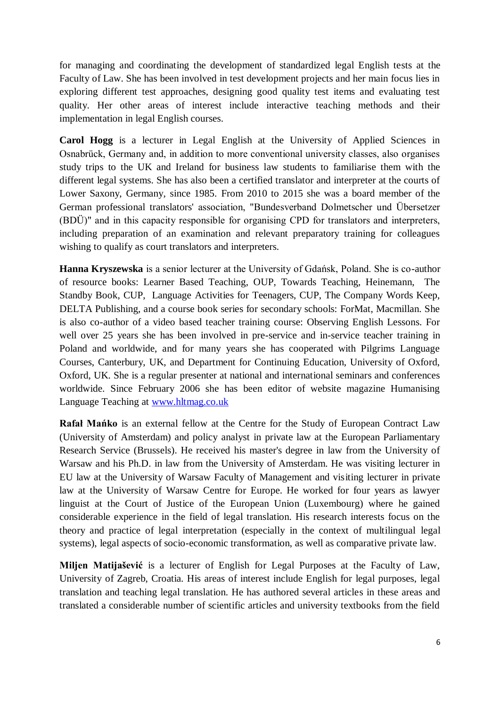for managing and coordinating the development of standardized legal English tests at the Faculty of Law. She has been involved in test development projects and her main focus lies in exploring different test approaches, designing good quality test items and evaluating test quality. Her other areas of interest include interactive teaching methods and their implementation in legal English courses.

**Carol Hogg** is a lecturer in Legal English at the University of Applied Sciences in Osnabrück, Germany and, in addition to more conventional university classes, also organises study trips to the UK and Ireland for business law students to familiarise them with the different legal systems. She has also been a certified translator and interpreter at the courts of Lower Saxony, Germany, since 1985. From 2010 to 2015 she was a board member of the German professional translators' association, "Bundesverband Dolmetscher und Übersetzer (BDÜ)" and in this capacity responsible for organising CPD for translators and interpreters, including preparation of an examination and relevant preparatory training for colleagues wishing to qualify as court translators and interpreters.

**Hanna Kryszewska** is a senior lecturer at the University of Gdańsk, Poland. She is co-author of resource books: Learner Based Teaching, OUP, Towards Teaching, Heinemann, The Standby Book, CUP, Language Activities for Teenagers, CUP, The Company Words Keep, DELTA Publishing, and a course book series for secondary schools: ForMat, Macmillan. She is also co-author of a video based teacher training course: Observing English Lessons. For well over 25 years she has been involved in pre-service and in-service teacher training in Poland and worldwide, and for many years she has cooperated with Pilgrims Language Courses, Canterbury, UK, and Department for Continuing Education, University of Oxford, Oxford, UK. She is a regular presenter at national and international seminars and conferences worldwide. Since February 2006 she has been editor of website magazine Humanising Language Teaching at [www.hltmag.co.uk](http://www.hltmag.co.uk/)

**Rafał Mańko** is an external fellow at the Centre for the Study of European Contract Law (University of Amsterdam) and policy analyst in private law at the European Parliamentary Research Service (Brussels). He received his master's degree in law from the University of Warsaw and his Ph.D. in law from the University of Amsterdam. He was visiting lecturer in EU law at the University of Warsaw Faculty of Management and visiting lecturer in private law at the University of Warsaw Centre for Europe. He worked for four years as lawyer linguist at the Court of Justice of the European Union (Luxembourg) where he gained considerable experience in the field of legal translation. His research interests focus on the theory and practice of legal interpretation (especially in the context of multilingual legal systems), legal aspects of socio-economic transformation, as well as comparative private law.

**Miljen Matijašević** is a lecturer of English for Legal Purposes at the Faculty of Law, University of Zagreb, Croatia. His areas of interest include English for legal purposes, legal translation and teaching legal translation. He has authored several articles in these areas and translated a considerable number of scientific articles and university textbooks from the field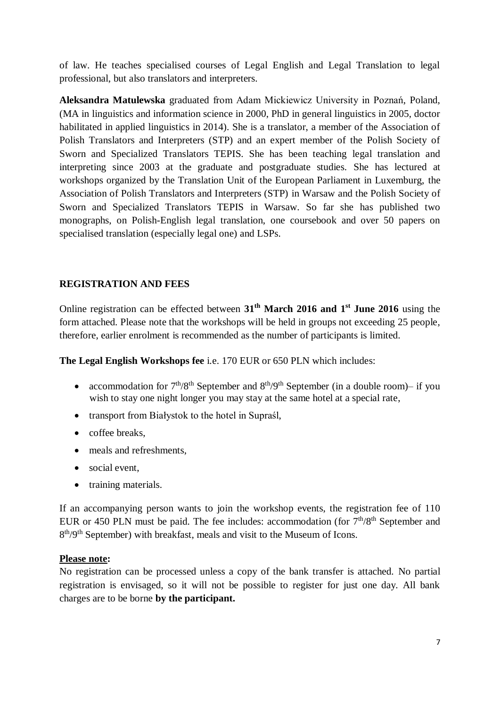of law. He teaches specialised courses of Legal English and Legal Translation to legal professional, but also translators and interpreters.

**Aleksandra Matulewska** graduated from Adam Mickiewicz University in Poznań, Poland, (MA in linguistics and information science in 2000, PhD in general linguistics in 2005, doctor habilitated in applied linguistics in 2014). She is a translator, a member of the Association of Polish Translators and Interpreters (STP) and an expert member of the Polish Society of Sworn and Specialized Translators TEPIS. She has been teaching legal translation and interpreting since 2003 at the graduate and postgraduate studies. She has lectured at workshops organized by the Translation Unit of the European Parliament in Luxemburg, the Association of Polish Translators and Interpreters (STP) in Warsaw and the Polish Society of Sworn and Specialized Translators TEPIS in Warsaw. So far she has published two monographs, on Polish-English legal translation, one coursebook and over 50 papers on specialised translation (especially legal one) and LSPs.

# **REGISTRATION AND FEES**

Online registration can be effected between **31 th March 2016 and 1 st June 2016** using the form attached. Please note that the workshops will be held in groups not exceeding 25 people, therefore, earlier enrolment is recommended as the number of participants is limited.

**The Legal English Workshops fee** i.e. 170 EUR or 650 PLN which includes:

- accommodation for  $7<sup>th</sup>/8<sup>th</sup>$  September and  $8<sup>th</sup>/9<sup>th</sup>$  September (in a double room)– if you wish to stay one night longer you may stay at the same hotel at a special rate,
- transport from Białystok to the hotel in Supraśl,
- coffee breaks,
- meals and refreshments,
- social event,
- training materials.

If an accompanying person wants to join the workshop events, the registration fee of 110 EUR or 450 PLN must be paid. The fee includes: accommodation (for  $7<sup>th</sup>/8<sup>th</sup>$  September and 8<sup>th</sup>/9<sup>th</sup> September) with breakfast, meals and visit to the Museum of Icons.

## **Please note:**

No registration can be processed unless a copy of the bank transfer is attached. No partial registration is envisaged, so it will not be possible to register for just one day. All bank charges are to be borne **by the participant.**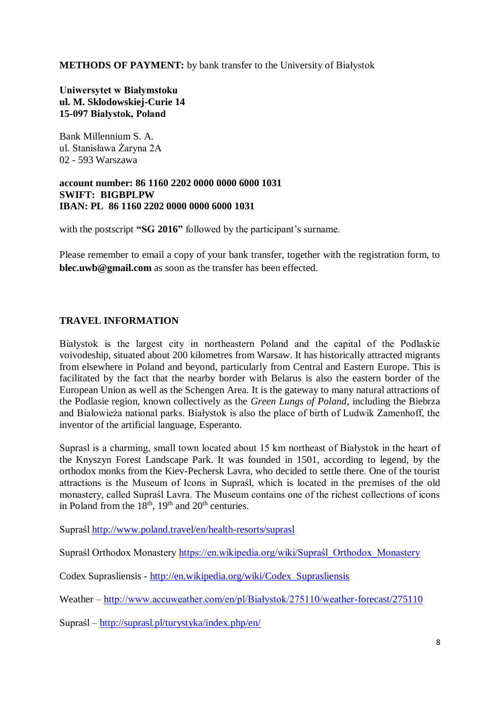**METHODS OF PAYMENT:** by bank transfer to the University of Białystok

#### **Uniwersytet w Białymstoku ul. M. Sklodowskiej-Curie 14 15-097 Białystok, Poland**

Bank Millennium S. A. ul. Stanisława Żaryna 2A 02 - 593 Warszawa

#### **account number: 86 1160 2202 0000 0000 6000 1031 SWIFT: BIGBPLPW IBAN: PL 86 1160 2202 0000 0000 6000 1031**

with the postscript **"SG 2016"** followed by the participant's surname.

Please remember to email a copy of your bank transfer, together with the registration form, to **blec.uwb@gmail.com** as soon as the transfer has been effected.

#### **TRAVEL INFORMATION**

Białystok is the largest city in northeastern Poland and the capital of the Podlaskie voivodeship, situated about 200 kilometres from Warsaw. It has historically attracted migrants from elsewhere in Poland and beyond, particularly from Central and Eastern Europe. This is facilitated by the fact that the nearby border with Belarus is also the eastern border of the European Union as well as the Schengen Area. It is the gateway to many natural attractions of the Podlasie region, known collectively as the *Green Lungs of Poland*, including the Biebrza and Białowieża national parks. Białystok is also the place of birth of Ludwik Zamenhoff, the inventor of the artificial language, Esperanto.

Suprasl is a charming, small town located about 15 km northeast of Białystok in the heart of the Knyszyn Forest Landscape Park. It was founded in 1501, according to legend, by the orthodox monks from the Kiev-Pechersk Lavra, who decided to settle there. One of the tourist attractions is the Museum of Icons in Supraśl, which is located in the premises of the old monastery, called Supraśl Lavra. The Museum contains one of the richest collections of icons in Poland from the  $18<sup>th</sup>$ ,  $19<sup>th</sup>$  and  $20<sup>th</sup>$  centuries.

Supraśl<http://www.poland.travel/en/health-resorts/suprasl>

Supraśl Orthodox Monastery [https://en.wikipedia.org/wiki/Supraśl\\_Orthodox\\_Monastery](https://en.wikipedia.org/wiki/Supra%C5%9Bl_Orthodox_Monastery)

Codex Suprasliensis - [http://en.wikipedia.org/wiki/Codex\\_Suprasliensis](http://en.wikipedia.org/wiki/Codex_Suprasliensis)

Weather – [http://www.accuweather.com/en/pl/Białystok/275110/weather-forecast/275110](http://www.accuweather.com/en/pl/bialystok/275110/weather-forecast/275110)

Supraśl – <http://suprasl.pl/turystyka/index.php/en/>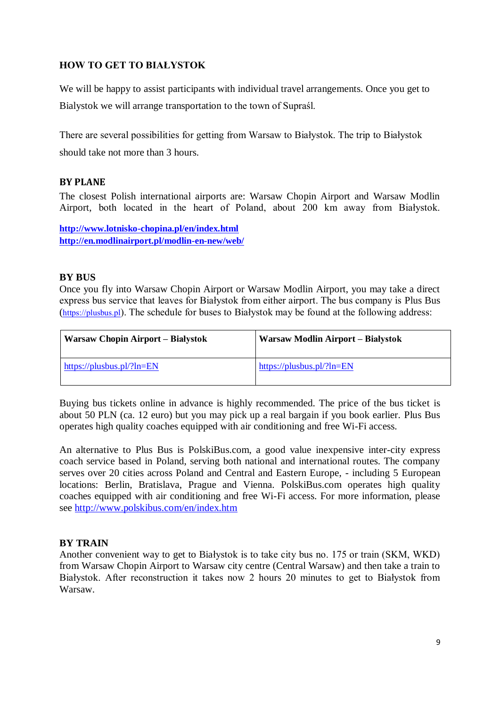# **HOW TO GET TO BIAŁYSTOK**

We will be happy to assist participants with individual travel arrangements. Once you get to Bialystok we will arrange transportation to the town of Supraśl.

There are several possibilities for getting from Warsaw to Białystok. The trip to Białystok should take not more than 3 hours.

## **BY PLANE**

The closest Polish international airports are: Warsaw Chopin Airport and Warsaw Modlin Airport, both located in the heart of Poland, about 200 km away from Białystok.

**<http://www.lotnisko-chopina.pl/en/index.html> <http://en.modlinairport.pl/modlin-en-new/web/>**

#### **BY BUS**

Once you fly into Warsaw Chopin Airport or Warsaw Modlin Airport, you may take a direct express bus service that leaves for Białystok from either airport. The bus company is Plus Bus ([https://plusbus.pl](https://plusbus.pl/)). The schedule for buses to Białystok may be found at the following address:

| Warsaw Chopin Airport – Białystok | Warsaw Modlin Airport – Białystok |
|-----------------------------------|-----------------------------------|
| https://plusbus.pl/? $ln=EN$      | https://plusbus.pl/? $ln=EN$      |

Buying bus tickets online in advance is highly recommended. The price of the bus ticket is about 50 PLN (ca. 12 euro) but you may pick up a real bargain if you book earlier. Plus Bus operates high quality coaches equipped with air conditioning and free Wi-Fi access.

An alternative to Plus Bus is PolskiBus.com, a good value inexpensive inter-city express coach service based in Poland, serving both national and international routes. The company serves over 20 cities across Poland and Central and Eastern Europe, - including 5 European locations: Berlin, Bratislava, Prague and Vienna. PolskiBus.com operates high quality coaches equipped with air conditioning and free Wi-Fi access. For more information, please see<http://www.polskibus.com/en/index.htm>

## **BY TRAIN**

Another convenient way to get to Białystok is to take city bus no. 175 or train (SKM, WKD) from Warsaw Chopin Airport to Warsaw city centre (Central Warsaw) and then take a train to Białystok. After reconstruction it takes now 2 hours 20 minutes to get to Białystok from Warsaw.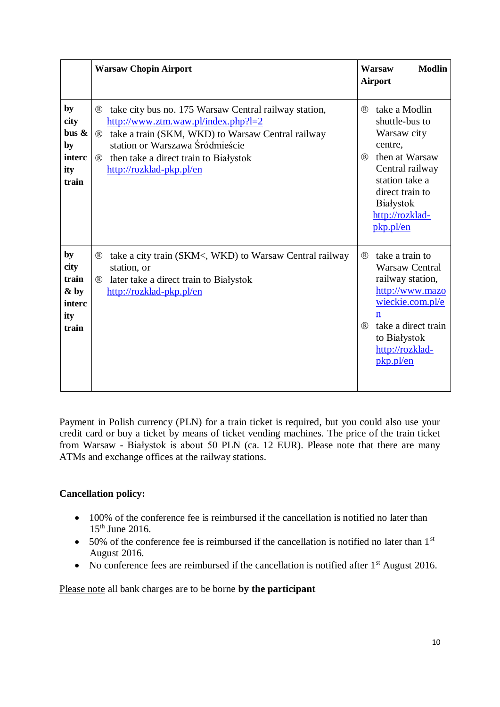|                                                        | <b>Warsaw Chopin Airport</b>                                                                                                                                                                                                                                                                               | <b>Modlin</b><br>Warsaw<br><b>Airport</b>                                                                                                                                                               |
|--------------------------------------------------------|------------------------------------------------------------------------------------------------------------------------------------------------------------------------------------------------------------------------------------------------------------------------------------------------------------|---------------------------------------------------------------------------------------------------------------------------------------------------------------------------------------------------------|
| by<br>city<br>bus $\&$<br>by<br>interc<br>ity<br>train | take city bus no. 175 Warsaw Central railway station,<br>$^{\circledR}$<br>$\frac{http://www.ztm.waw.pl/index.php?l=2}{}$<br>® take a train (SKM, WKD) to Warsaw Central railway<br>station or Warszawa Śródmieście<br>then take a direct train to Białystok<br>$^{\circledR}$<br>http://rozklad-pkp.pl/en | take a Modlin<br>$\circledR$<br>shuttle-bus to<br>Warsaw city<br>centre,<br>then at Warsaw<br>(R)<br>Central railway<br>station take a<br>direct train to<br>Białystok<br>http://rozklad-<br>pkp.pl/en  |
| by<br>city<br>train<br>& by<br>interc<br>ity<br>train  | take a city train (SKM<, WKD) to Warsaw Central railway<br>$\circledR$<br>station, or<br>later take a direct train to Białystok<br>(R)<br>http://rozklad-pkp.pl/en                                                                                                                                         | take a train to<br>(R)<br><b>Warsaw Central</b><br>railway station,<br>http://www.mazo<br>wieckie.com.pl/e<br>$\mathbf n$<br>take a direct train<br>(R)<br>to Białystok<br>http://rozklad-<br>pkp.pl/en |

Payment in Polish currency (PLN) for a train ticket is required, but you could also use your credit card or buy a ticket by means of ticket vending machines. The price of the train ticket from Warsaw - Białystok is about 50 PLN (ca. 12 EUR). Please note that there are many ATMs and exchange offices at the railway stations.

## **Cancellation policy:**

- 100% of the conference fee is reimbursed if the cancellation is notified no later than  $15<sup>th</sup>$  June 2016.
- $\bullet$  50% of the conference fee is reimbursed if the cancellation is notified no later than 1<sup>st</sup> August 2016.
- $\bullet$  No conference fees are reimbursed if the cancellation is notified after  $1<sup>st</sup>$  August 2016.

Please note all bank charges are to be borne **by the participant**